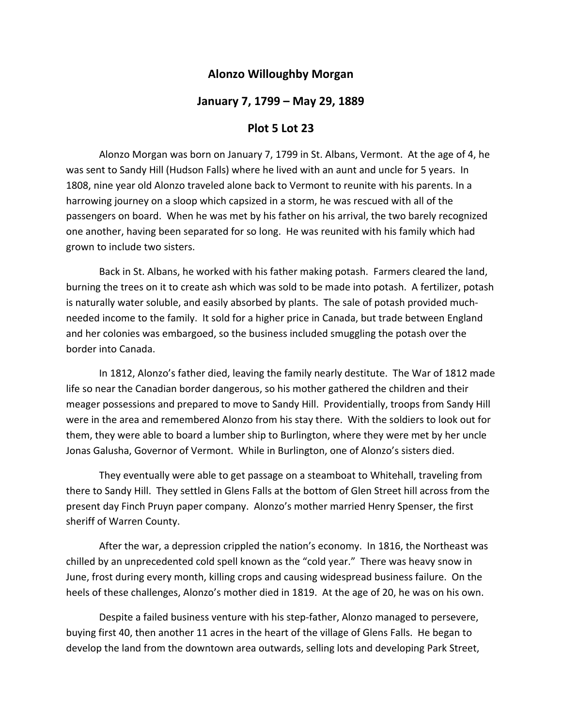## **Alonzo Willoughby Morgan**

## **January 7, 1799 – May 29, 1889**

## **Plot 5 Lot 23**

 Alonzo Morgan was born on January 7, 1799 in St. Albans, Vermont. At the age of 4, he was sent to Sandy Hill (Hudson Falls) where he lived with an aunt and uncle for 5 years. In 1808, nine year old Alonzo traveled alone back to Vermont to reunite with his parents. In a harrowing journey on a sloop which capsized in a storm, he was rescued with all of the passengers on board. When he was met by his father on his arrival, the two barely recognized one another, having been separated for so long. He was reunited with his family which had grown to include two sisters.

 Back in St. Albans, he worked with his father making potash. Farmers cleared the land, burning the trees on it to create ash which was sold to be made into potash. A fertilizer, potash is naturally water soluble, and easily absorbed by plants. The sale of potash provided much‐ needed income to the family. It sold for a higher price in Canada, but trade between England and her colonies was embargoed, so the business included smuggling the potash over the border into Canada.

 In 1812, Alonzo's father died, leaving the family nearly destitute. The War of 1812 made life so near the Canadian border dangerous, so his mother gathered the children and their meager possessions and prepared to move to Sandy Hill. Providentially, troops from Sandy Hill were in the area and remembered Alonzo from his stay there. With the soldiers to look out for them, they were able to board a lumber ship to Burlington, where they were met by her uncle Jonas Galusha, Governor of Vermont. While in Burlington, one of Alonzo's sisters died.

 They eventually were able to get passage on a steamboat to Whitehall, traveling from there to Sandy Hill. They settled in Glens Falls at the bottom of Glen Street hill across from the present day Finch Pruyn paper company. Alonzo's mother married Henry Spenser, the first sheriff of Warren County.

 After the war, a depression crippled the nation's economy. In 1816, the Northeast was chilled by an unprecedented cold spell known as the "cold year." There was heavy snow in June, frost during every month, killing crops and causing widespread business failure. On the heels of these challenges, Alonzo's mother died in 1819. At the age of 20, he was on his own.

Despite a failed business venture with his step-father, Alonzo managed to persevere, buying first 40, then another 11 acres in the heart of the village of Glens Falls. He began to develop the land from the downtown area outwards, selling lots and developing Park Street,